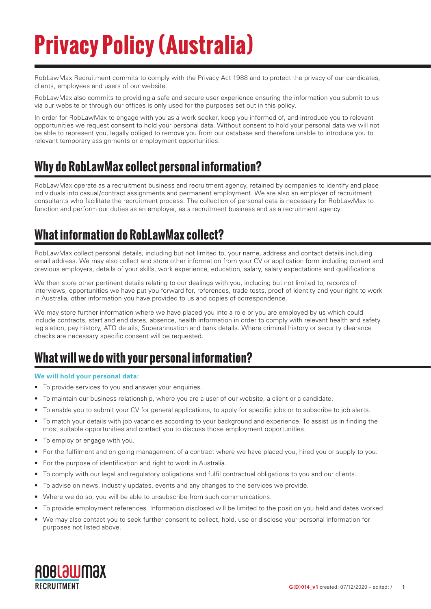# **Privacy Policy (Australia)**

RobLawMax Recruitment commits to comply with the Privacy Act 1988 and to protect the privacy of our candidates, clients, employees and users of our website.

RobLawMax also commits to providing a safe and secure user experience ensuring the information you submit to us via our website or through our offices is only used for the purposes set out in this policy.

In order for RobLawMax to engage with you as a work seeker, keep you informed of, and introduce you to relevant opportunities we request consent to hold your personal data. Without consent to hold your personal data we will not be able to represent you, legally obliged to remove you from our database and therefore unable to introduce you to relevant temporary assignments or employment opportunities.

# **Why do RobLawMax collect personal information?**

RobLawMax operate as a recruitment business and recruitment agency, retained by companies to identify and place individuals into casual/contract assignments and permanent employment. We are also an employer of recruitment consultants who facilitate the recruitment process. The collection of personal data is necessary for RobLawMax to function and perform our duties as an employer, as a recruitment business and as a recruitment agency.

# **What information do RobLawMax collect?**

RobLawMax collect personal details, including but not limited to, your name, address and contact details including email address. We may also collect and store other information from your CV or application form including current and previous employers, details of your skills, work experience, education, salary, salary expectations and qualifications.

We then store other pertinent details relating to our dealings with you, including but not limited to, records of interviews, opportunities we have put you forward for, references, trade tests, proof of identity and your right to work in Australia, other information you have provided to us and copies of correspondence.

We may store further information where we have placed you into a role or you are employed by us which could include contracts, start and end dates, absence, health information in order to comply with relevant health and safety legislation, pay history, ATO details, Superannuation and bank details. Where criminal history or security clearance checks are necessary specific consent will be requested.

# **What will we do with your personal information?**

#### **We will hold your personal data:**

- To provide services to you and answer your enquiries.
- • To maintain our business relationship, where you are a user of our website, a client or a candidate.
- To enable you to submit your CV for general applications, to apply for specific jobs or to subscribe to job alerts.
- • To match your details with job vacancies according to your background and experience. To assist us in finding the most suitable opportunities and contact you to discuss those employment opportunities.
- To employ or engage with you.
- For the fulfilment and on going management of a contract where we have placed you, hired you or supply to you.
- For the purpose of identification and right to work in Australia.
- • To comply with our legal and regulatory obligations and fulfil contractual obligations to you and our clients.
- • To advise on news, industry updates, events and any changes to the services we provide.
- Where we do so, you will be able to unsubscribe from such communications.
- • To provide employment references. Information disclosed will be limited to the position you held and dates worked
- We may also contact you to seek further consent to collect, hold, use or disclose your personal information for purposes not listed above.

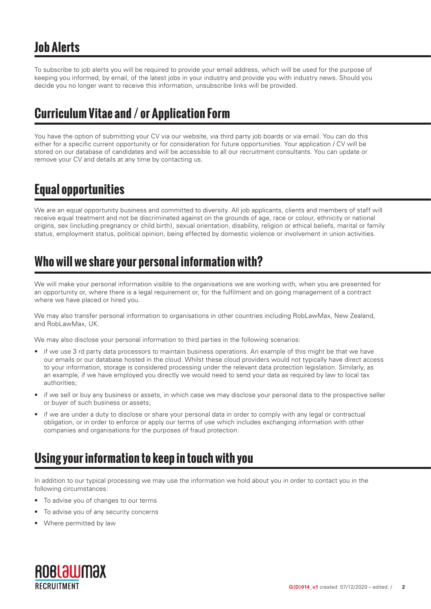To subscribe to job alerts you will be required to provide your email address, which will be used for the purpose of keeping you informed, by email, of the latest jobs in your industry and provide you with industry news. Should you decide you no longer want to receive this information, unsubscribe links will be provided.

# **Curriculum Vitae and / or Application Form**

You have the option of submitting your CV via our website, via third party job boards or via email. You can do this either for a specific current opportunity or for consideration for future opportunities. Your application / CV will be stored on our database of candidates and will be accessible to all our recruitment consultants. You can update or remove your CV and details at any time by contacting us.

# **Equal opportunities**

We are an equal opportunity business and committed to diversity. All job applicants, clients and members of staff will receive equal treatment and not be discriminated against on the grounds of age, race or colour, ethnicity or national origins, sex (including pregnancy or child birth), sexual orientation, disability, religion or ethical beliefs, marital or family status, employment status, political opinion, being effected by domestic violence or involvement in union activities.

### **Who will we share your personal information with?**

We will make your personal information visible to the organisations we are working with, when you are presented for an opportunity or, where there is a legal requirement or, for the fulfilment and on going management of a contract where we have placed or hired you.

We may also transfer personal information to organisations in other countries including RobLawMax, New Zealand, and RobLawMax, UK.

We may also disclose your personal information to third parties in the following scenarios:

- if we use 3 rd party data processors to maintain business operations. An example of this might be that we have our emails or our database hosted in the cloud. Whilst these cloud providers would not typically have direct access to your information, storage is considered processing under the relevant data protection legislation. Similarly, as an example, if we have employed you directly we would need to send your data as required by law to local tax authorities;
- if we sell or buy any business or assets, in which case we may disclose your personal data to the prospective seller or buyer of such business or assets;
- if we are under a duty to disclose or share your personal data in order to comply with any legal or contractual obligation, or in order to enforce or apply our terms of use which includes exchanging information with other companies and organisations for the purposes of fraud protection.

# **Using your information to keep in touch with you**

In addition to our typical processing we may use the information we hold about you in order to contact you in the following circumstances:

- To advise you of changes to our terms
- To advise you of any security concerns
- Where permitted by law

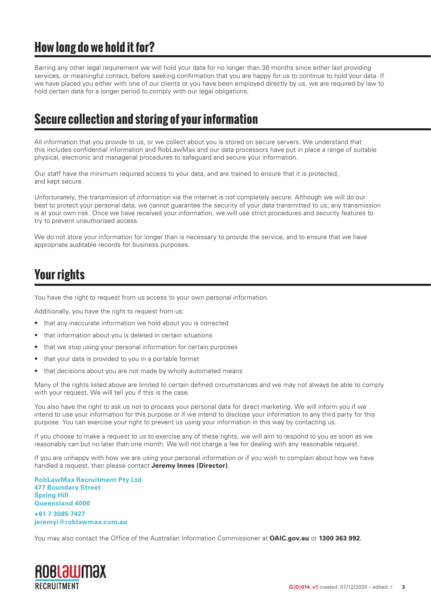# **How long do we hold it for?**

Barring any other legal requirement we will hold your data for no longer than 36 months since either last providing services, or meaningful contact, before seeking confirmation that you are happy for us to continue to hold your data. If we have placed you either with one of our clients or you have been employed directly by us, we are required by law to hold certain data for a longer period to comply with our legal obligations.

#### **Secure collection and storing of your information**

All information that you provide to us, or we collect about you is stored on secure servers. We understand that this includes confidential information and RobLawMax and our data processors have put in place a range of suitable physical, electronic and managerial procedures to safeguard and secure your information.

Our staff have the minimum required access to your data, and are trained to ensure that it is protected, and kept secure.

Unfortunately, the transmission of information via the internet is not completely secure. Although we will do our best to protect your personal data, we cannot guarantee the security of your data transmitted to us; any transmission is at your own risk. Once we have received your information, we will use strict procedures and security features to try to prevent unauthorised access.

We do not store your information for longer than is necessary to provide the service, and to ensure that we have appropriate auditable records for business purposes.

# **Your rights**

You have the right to request from us access to your own personal information.

Additionally, you have the right to request from us:

- that any inaccurate information we hold about you is corrected
- that information about you is deleted in certain situations
- that we stop using your personal information for certain purposes
- that your data is provided to you in a portable format
- that decisions about you are not made by wholly automated means

Many of the rights listed above are limited to certain defined circumstances and we may not always be able to comply with your request. We will tell you if this is the case.

You also have the right to ask us not to process your personal data for direct marketing. We will inform you if we intend to use your information for this purpose or if we intend to disclose your information to any third party for this purpose. You can exercise your right to prevent us using your information in this way by contacting us.

If you choose to make a request to us to exercise any of these rights, we will aim to respond to you as soon as we reasonably can but no later than one month. We will not charge a fee for dealing with any reasonable request.

If you are unhappy with how we are using your personal information or if you wish to complain about how we have handled a request, then please contact **Jeremy Innes (Director)**.

**RobLawMax Recruitment Pty Ltd 477 Boundary Street Spring Hill Queensland 4000 +61 7 3085 7427 jeremyi@roblawmax.com.au**

You may also contact the Office of the Australian Information Commissioner at **OAIC.gov.au** or **1300 363 992.**